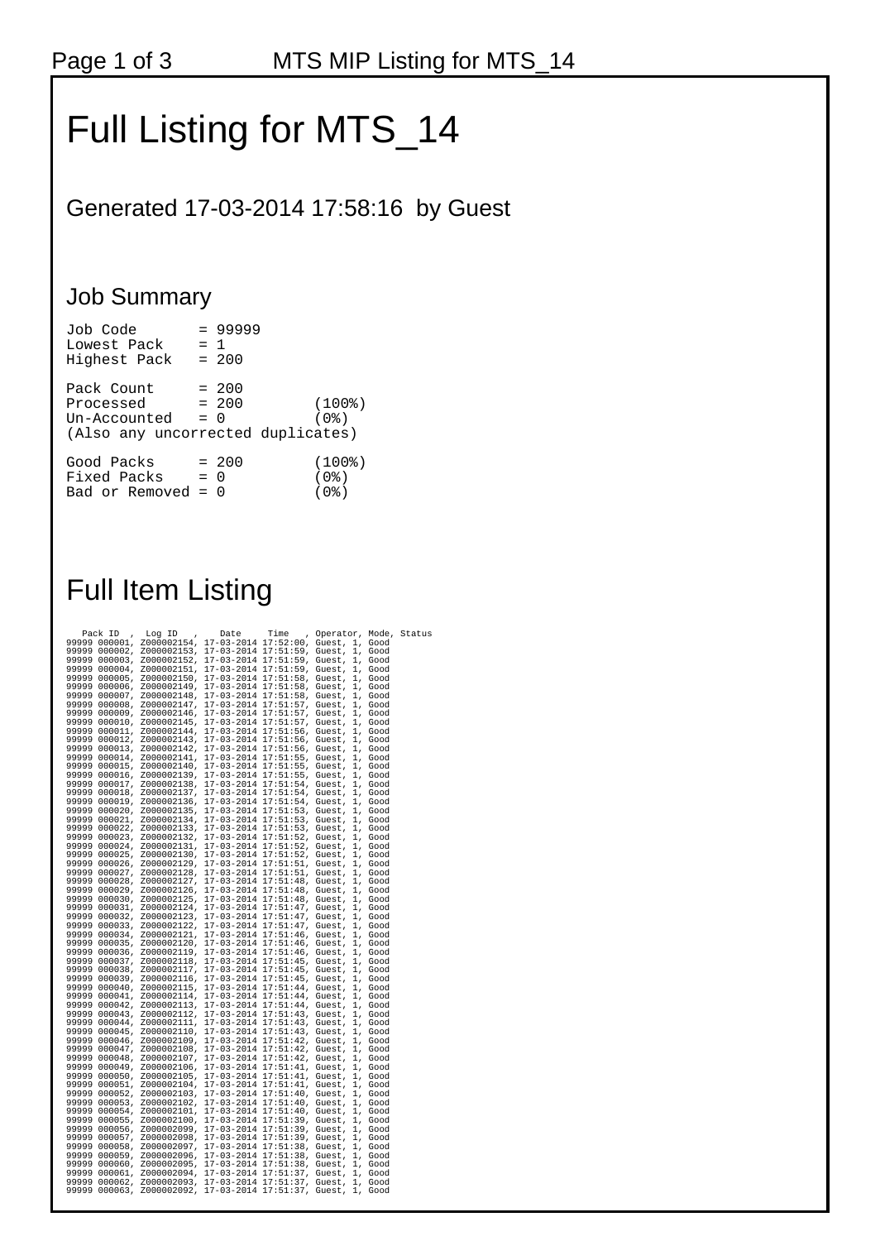## Full Listing for MTS\_14

Generated 17-03-2014 17:58:16 by Guest

## Job Summary

| Job Code<br>Lowest Pack<br>Highest Pack                                      | $= 1$ | $= 99999$<br>$= 200$ |                             |
|------------------------------------------------------------------------------|-------|----------------------|-----------------------------|
| Pack Count<br>Processed<br>Un-Accounted<br>(Also any uncorrected duplicates) | $= 0$ | $= 200$<br>$= 200$   | $(100$ $)$<br>(0%)          |
| Good Packs<br>Fixed Packs<br>Bad or Removed = $0$                            | $= 0$ | $= 200$              | $(100$ %)<br>(0%)<br>( 0응 ) |

## Full Item Listing

|                | Pack ID                        | Log ID<br>$\pmb{\cdot}$                                                            | Date | Time | , Operator, Mode, Status |                    |  |
|----------------|--------------------------------|------------------------------------------------------------------------------------|------|------|--------------------------|--------------------|--|
|                | 99999 000001,                  | Z000002154, 17-03-2014 17:52:00, Guest, 1, Good                                    |      |      |                          |                    |  |
|                | 99999 000002,                  | Z000002153, 17-03-2014 17:51:59, Guest, 1, Good                                    |      |      |                          |                    |  |
|                | 99999 000003,                  | Z000002152, 17-03-2014 17:51:59, Guest,                                            |      |      |                          | 1, Good            |  |
|                | 99999 000004,                  | Z000002151, 17-03-2014 17:51:59, Guest,                                            |      |      |                          | 1, Good            |  |
|                | 99999 000005,                  | Z000002150, 17-03-2014 17:51:58, Guest,                                            |      |      |                          | 1, Good            |  |
| 99999          | 000006,                        | Z000002149, 17-03-2014 17:51:58, Guest,                                            |      |      |                          | 1, Good            |  |
| 99999          | 000007,                        | Z000002148, 17-03-2014 17:51:58, Guest,                                            |      |      |                          | 1, Good            |  |
| 99999          | 000008,                        | Z000002147, 17-03-2014 17:51:57, Guest,                                            |      |      |                          | 1, Good            |  |
| 99999          | 000009,                        | Z000002146, 17-03-2014 17:51:57, Guest,                                            |      |      |                          | 1, Good            |  |
| 99999          | 000010,                        | Z000002145, 17-03-2014 17:51:57, Guest,                                            |      |      |                          | 1, Good            |  |
| 99999          | 000011,                        | Z000002144, 17-03-2014 17:51:56, Guest,                                            |      |      |                          | 1, Good            |  |
| 99999          | 000012,                        | Z000002143, 17-03-2014 17:51:56, Guest,                                            |      |      |                          | 1, Good            |  |
|                | 99999 000013,                  | Z000002142, 17-03-2014 17:51:56, Guest,                                            |      |      |                          | 1, Good            |  |
| 99999          | 000014,                        | Z000002141, 17-03-2014 17:51:55, Guest, 1, Good                                    |      |      |                          |                    |  |
|                | 99999 000015,                  | Z000002140, 17-03-2014 17:51:55, Guest, 1, Good                                    |      |      |                          |                    |  |
| 99999          | 000016,                        | Z000002139, 17-03-2014 17:51:55, Guest,                                            |      |      |                          | 1, Good            |  |
| 99999          | 000017,                        | Z000002138, 17-03-2014 17:51:54, Guest,                                            |      |      |                          | 1, Good            |  |
| 99999          | 000018,                        | Z000002137, 17-03-2014 17:51:54, Guest,                                            |      |      |                          | 1, Good            |  |
| 99999          | 000019,                        | Z000002136, 17-03-2014 17:51:54, Guest,                                            |      |      |                          | 1, Good            |  |
| 99999          | 000020,                        | Z000002135, 17-03-2014 17:51:53, Guest,                                            |      |      |                          | 1, Good            |  |
|                | 99999 000021,                  | Z000002134, 17-03-2014 17:51:53, Guest, 1, Good                                    |      |      |                          |                    |  |
|                | 99999 000022,                  | Z000002133, 17-03-2014 17:51:53, Guest, 1, Good                                    |      |      |                          |                    |  |
| 99999          | 000023,                        | Z000002132, 17-03-2014 17:51:52, Guest,                                            |      |      |                          | 1, Good            |  |
| 99999          | 000024,                        | Z000002131, 17-03-2014 17:51:52, Guest,                                            |      |      |                          | 1, Good            |  |
| 99999          | 000025,                        | Z000002130, 17-03-2014 17:51:52, Guest,                                            |      |      |                          | 1, Good            |  |
| 99999          | 000026,                        | Z000002129, 17-03-2014 17:51:51, Guest,                                            |      |      |                          | 1, Good            |  |
| 99999          | 000027,                        | Z000002128, 17-03-2014 17:51:51, Guest,                                            |      |      |                          | 1, Good            |  |
|                | 99999 000028,                  | Z000002127, 17-03-2014 17:51:48, Guest, 1, Good                                    |      |      |                          |                    |  |
|                | 99999 000029,                  | Z000002126, 17-03-2014 17:51:48, Guest,                                            |      |      |                          | 1, Good            |  |
|                | 99999 000030,                  | Z000002125, 17-03-2014 17:51:48, Guest,                                            |      |      |                          | 1, Good            |  |
| 99999          | 000031,                        | Z000002124, 17-03-2014 17:51:47, Guest,                                            |      |      |                          | 1, Good            |  |
|                |                                | 99999 000032, Z000002123, 17-03-2014 17:51:47, Guest,                              |      |      |                          | 1, Good            |  |
|                | 99999 000033,                  |                                                                                    |      |      |                          |                    |  |
|                |                                | Z000002122, 17-03-2014 17:51:47, Guest,                                            |      |      |                          | 1, Good            |  |
|                | 99999 000034,<br>99999 000035, | Z000002121, 17-03-2014 17:51:46, Guest, 1, Good                                    |      |      |                          |                    |  |
|                |                                | Z000002120, 17-03-2014 17:51:46, Guest,                                            |      |      |                          | 1, Good            |  |
|                | 99999 000036,                  | Z000002119, 17-03-2014 17:51:46, Guest,                                            |      |      |                          | 1, Good            |  |
| 99999<br>99999 | 000037,                        | Z000002118, 17-03-2014 17:51:45, Guest,                                            |      |      |                          | 1, Good            |  |
|                | 000038,                        | Z000002117, 17-03-2014 17:51:45, Guest,                                            |      |      |                          | 1, Good            |  |
| 99999          |                                | 000039, Z000002116, 17-03-2014 17:51:45, Guest,                                    |      |      |                          | 1, Good            |  |
| 99999          | 000040,                        | Z000002115, 17-03-2014 17:51:44, Guest,                                            |      |      |                          | 1, Good            |  |
|                | 99999 000041,                  | z000002114, 17-03-2014 17:51:44, Guest, 1, Good                                    |      |      |                          |                    |  |
|                | 99999 000042,                  | Z000002113, 17-03-2014 17:51:44, Guest,                                            |      |      |                          | 1, Good            |  |
| 99999          | 99999 000043,                  | Z000002112, 17-03-2014 17:51:43, Guest,                                            |      |      |                          | 1, Good<br>1, Good |  |
| 99999          | 000044,                        | Z000002111, 17-03-2014 17:51:43, Guest,                                            |      |      |                          |                    |  |
| 99999          |                                | 000045, Z000002110, 17-03-2014 17:51:43, Guest,                                    |      |      |                          | 1, Good            |  |
|                |                                | 000046, Z000002109, 17-03-2014 17:51:42, Guest,                                    |      |      |                          | 1, Good            |  |
| 99999          | 000047,<br>99999 000048,       | Z000002108, 17-03-2014 17:51:42, Guest,<br>Z000002107, 17-03-2014 17:51:42, Guest, |      |      |                          | 1, Good<br>1, Good |  |
|                |                                |                                                                                    |      |      |                          |                    |  |
|                | 99999 000049,                  | Z000002106, 17-03-2014 17:51:41, Guest,                                            |      |      |                          | 1, Good            |  |
|                | 99999 000050,                  | Z000002105, 17-03-2014 17:51:41, Guest,                                            |      |      |                          | 1, Good            |  |
| 99999          | 000051,                        | Z000002104, 17-03-2014 17:51:41, Guest,                                            |      |      |                          | 1, Good            |  |
|                | 99999 000052,                  | Z000002103, 17-03-2014 17:51:40, Guest,                                            |      |      |                          | 1, Good            |  |
| 99999          | 000053,                        | Z000002102, 17-03-2014 17:51:40, Guest,                                            |      |      |                          | 1, Good            |  |
| 99999          | 000054,                        | Z000002101, 17-03-2014 17:51:40, Guest,                                            |      |      |                          | 1, Good            |  |
| 99999          | 000055,                        | Z000002100, 17-03-2014 17:51:39, Guest,                                            |      |      |                          | 1, Good            |  |
| 99999          | 000056,                        | Z000002099, 17-03-2014 17:51:39, Guest,                                            |      |      |                          | 1, Good            |  |
| 99999          | 000057,                        | Z000002098, 17-03-2014 17:51:39, Guest,                                            |      |      |                          | 1, Good            |  |
| 99999          | 000058,                        | Z000002097, 17-03-2014 17:51:38, Guest,                                            |      |      |                          | 1, Good            |  |
| 99999          | 000059,                        | Z000002096, 17-03-2014 17:51:38, Guest,                                            |      |      |                          | 1, Good            |  |
| 99999          | 000060,                        | Z000002095, 17-03-2014 17:51:38, Guest,                                            |      |      |                          | 1, Good            |  |
| 99999          | 000061,                        | Z000002094, 17-03-2014 17:51:37, Guest,                                            |      |      |                          | 1, Good            |  |
|                | 99999 000062,                  | Z000002093, 17-03-2014 17:51:37, Guest,                                            |      |      |                          | 1, Good            |  |
|                |                                | 99999 000063, Z000002092, 17-03-2014 17:51:37, Guest, 1, Good                      |      |      |                          |                    |  |
|                |                                |                                                                                    |      |      |                          |                    |  |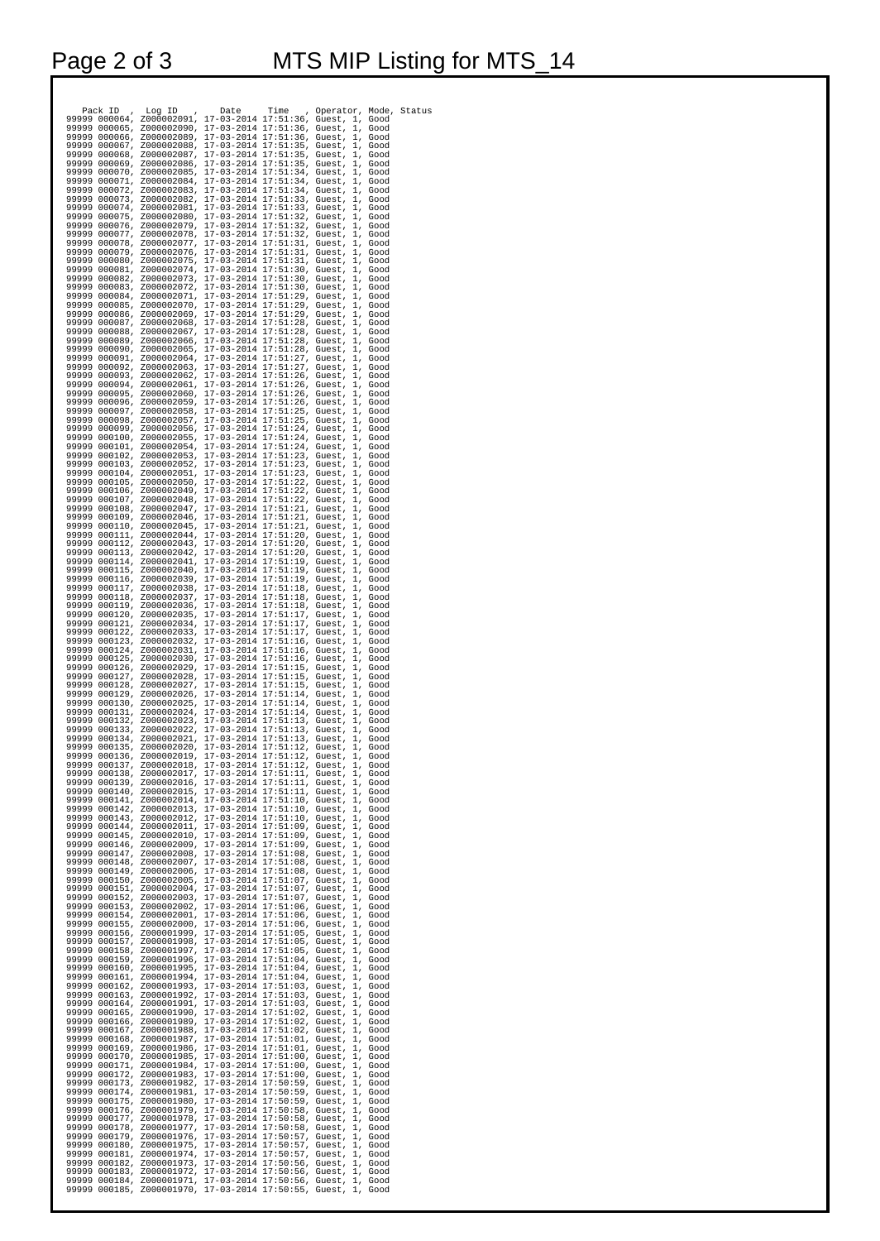| $\begin{smallmatrix} 1.1 & 1.20 & 1.1 & 1.20 & 1.1 & 1.20 & 1.1 & 1.20 & 1.20 & 1.20 & 1.20 & 1.20 & 1.20 & 1.20 & 1.20 & 1.20 & 1.20 & 1.20 & 1.20 & 1.20 & 1.20 & 1.20 & 1.20 & 1.20 & 1.20 & 1.20 & 1.20 & 1.20 & 1.20 & 1.20 & 1.20 & 1.20 & 1.20 & 1.20 & 1.20 & 1.20 & 1$ |  |  |  |
|---------------------------------------------------------------------------------------------------------------------------------------------------------------------------------------------------------------------------------------------------------------------------------|--|--|--|
|                                                                                                                                                                                                                                                                                 |  |  |  |
|                                                                                                                                                                                                                                                                                 |  |  |  |
|                                                                                                                                                                                                                                                                                 |  |  |  |
|                                                                                                                                                                                                                                                                                 |  |  |  |
|                                                                                                                                                                                                                                                                                 |  |  |  |
|                                                                                                                                                                                                                                                                                 |  |  |  |
|                                                                                                                                                                                                                                                                                 |  |  |  |
|                                                                                                                                                                                                                                                                                 |  |  |  |
|                                                                                                                                                                                                                                                                                 |  |  |  |
|                                                                                                                                                                                                                                                                                 |  |  |  |
|                                                                                                                                                                                                                                                                                 |  |  |  |
|                                                                                                                                                                                                                                                                                 |  |  |  |
|                                                                                                                                                                                                                                                                                 |  |  |  |
|                                                                                                                                                                                                                                                                                 |  |  |  |
|                                                                                                                                                                                                                                                                                 |  |  |  |
|                                                                                                                                                                                                                                                                                 |  |  |  |
|                                                                                                                                                                                                                                                                                 |  |  |  |
|                                                                                                                                                                                                                                                                                 |  |  |  |
|                                                                                                                                                                                                                                                                                 |  |  |  |
|                                                                                                                                                                                                                                                                                 |  |  |  |
|                                                                                                                                                                                                                                                                                 |  |  |  |
|                                                                                                                                                                                                                                                                                 |  |  |  |
|                                                                                                                                                                                                                                                                                 |  |  |  |
|                                                                                                                                                                                                                                                                                 |  |  |  |
|                                                                                                                                                                                                                                                                                 |  |  |  |
|                                                                                                                                                                                                                                                                                 |  |  |  |
|                                                                                                                                                                                                                                                                                 |  |  |  |
|                                                                                                                                                                                                                                                                                 |  |  |  |
|                                                                                                                                                                                                                                                                                 |  |  |  |
|                                                                                                                                                                                                                                                                                 |  |  |  |
|                                                                                                                                                                                                                                                                                 |  |  |  |
|                                                                                                                                                                                                                                                                                 |  |  |  |
|                                                                                                                                                                                                                                                                                 |  |  |  |
|                                                                                                                                                                                                                                                                                 |  |  |  |
|                                                                                                                                                                                                                                                                                 |  |  |  |
|                                                                                                                                                                                                                                                                                 |  |  |  |
|                                                                                                                                                                                                                                                                                 |  |  |  |
|                                                                                                                                                                                                                                                                                 |  |  |  |
|                                                                                                                                                                                                                                                                                 |  |  |  |
|                                                                                                                                                                                                                                                                                 |  |  |  |
|                                                                                                                                                                                                                                                                                 |  |  |  |
|                                                                                                                                                                                                                                                                                 |  |  |  |
|                                                                                                                                                                                                                                                                                 |  |  |  |
|                                                                                                                                                                                                                                                                                 |  |  |  |
|                                                                                                                                                                                                                                                                                 |  |  |  |
|                                                                                                                                                                                                                                                                                 |  |  |  |
|                                                                                                                                                                                                                                                                                 |  |  |  |
|                                                                                                                                                                                                                                                                                 |  |  |  |
|                                                                                                                                                                                                                                                                                 |  |  |  |
|                                                                                                                                                                                                                                                                                 |  |  |  |
|                                                                                                                                                                                                                                                                                 |  |  |  |
|                                                                                                                                                                                                                                                                                 |  |  |  |
|                                                                                                                                                                                                                                                                                 |  |  |  |
|                                                                                                                                                                                                                                                                                 |  |  |  |
|                                                                                                                                                                                                                                                                                 |  |  |  |
|                                                                                                                                                                                                                                                                                 |  |  |  |
|                                                                                                                                                                                                                                                                                 |  |  |  |
|                                                                                                                                                                                                                                                                                 |  |  |  |
|                                                                                                                                                                                                                                                                                 |  |  |  |
|                                                                                                                                                                                                                                                                                 |  |  |  |
| 999999 000114; 2000002021; 17-03-2014 17:51:13, Guest, 1, Good<br>999999 000114; 2000002021; 17-03-2014 17:51:13, Guest, 1, Good<br>99999 000116; 2000002019; 17-03-2014 17:51:12, Guest, 1, Good<br>99999 000115; 2000002019; 17-03-2                                          |  |  |  |
|                                                                                                                                                                                                                                                                                 |  |  |  |
|                                                                                                                                                                                                                                                                                 |  |  |  |